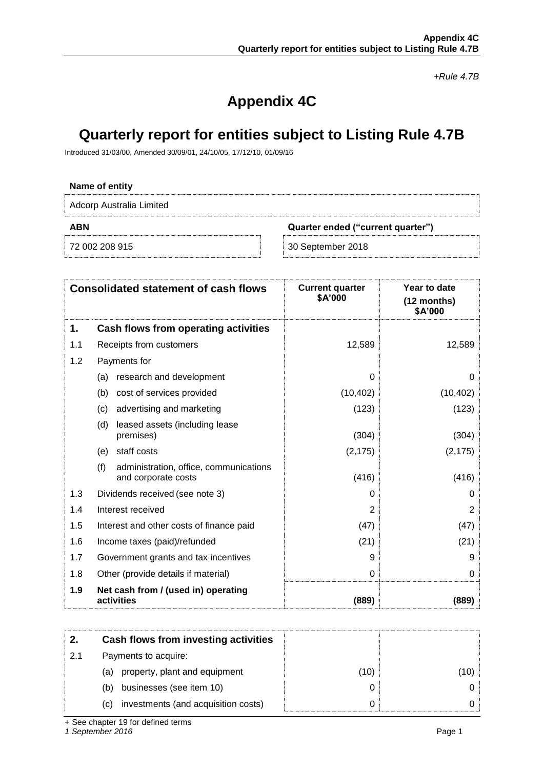*+Rule 4.7B*

## **Appendix 4C**

### **Quarterly report for entities subject to Listing Rule 4.7B**

Introduced 31/03/00, Amended 30/09/01, 24/10/05, 17/12/10, 01/09/16

# **Name of entity** Adcorp Australia Limited **ABN Quarter ended ("current quarter")** 72 002 208 915 30 September 2018

|     | <b>Consolidated statement of cash flows</b>                          | <b>Current quarter</b><br>\$A'000 | <b>Year to date</b><br>(12 months)<br>\$A'000 |
|-----|----------------------------------------------------------------------|-----------------------------------|-----------------------------------------------|
| 1.  | Cash flows from operating activities                                 |                                   |                                               |
| 1.1 | Receipts from customers                                              | 12,589                            | 12,589                                        |
| 1.2 | Payments for                                                         |                                   |                                               |
|     | research and development<br>(a)                                      | $\Omega$                          | 0                                             |
|     | cost of services provided<br>(b)                                     | (10, 402)                         | (10, 402)                                     |
|     | advertising and marketing<br>(c)                                     | (123)                             | (123)                                         |
|     | (d)<br>leased assets (including lease<br>premises)                   | (304)                             | (304)                                         |
|     | staff costs<br>(e)                                                   | (2, 175)                          | (2, 175)                                      |
|     | (f)<br>administration, office, communications<br>and corporate costs | (416)                             | (416)                                         |
| 1.3 | Dividends received (see note 3)                                      | $\Omega$                          | 0                                             |
| 1.4 | Interest received                                                    | 2                                 | 2                                             |
| 1.5 | Interest and other costs of finance paid                             | (47)                              | (47)                                          |
| 1.6 | Income taxes (paid)/refunded                                         | (21)                              | (21)                                          |
| 1.7 | Government grants and tax incentives                                 | 9                                 | 9                                             |
| 1.8 | Other (provide details if material)                                  | 0                                 | 0                                             |
| 1.9 | Net cash from / (used in) operating<br>activities                    | (889)                             | (889)                                         |

|     | Cash flows from investing activities       |      |     |
|-----|--------------------------------------------|------|-----|
| 2.1 | Payments to acquire:                       |      |     |
|     | property, plant and equipment<br>(a)       | (10) | 10) |
|     | businesses (see item 10)<br>(b)            |      |     |
|     | investments (and acquisition costs)<br>(C) |      |     |

+ See chapter 19 for defined terms

*1 September 2016* Page 1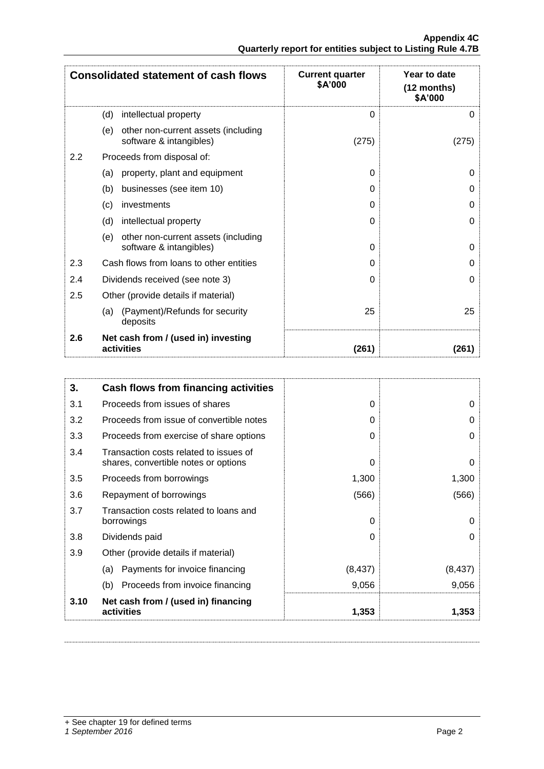|                                                            |  | <b>Appendix 4C</b> |
|------------------------------------------------------------|--|--------------------|
| Quarterly report for entities subject to Listing Rule 4.7B |  |                    |

|     | <b>Consolidated statement of cash flows</b>                           | <b>Current quarter</b><br>\$A'000 | Year to date<br>$(12$ months)<br>\$A'000 |
|-----|-----------------------------------------------------------------------|-----------------------------------|------------------------------------------|
|     | (d)<br>intellectual property                                          | $\Omega$                          | 0                                        |
|     | (e)<br>other non-current assets (including<br>software & intangibles) | (275)                             | (275)                                    |
| 2.2 | Proceeds from disposal of:                                            |                                   |                                          |
|     | property, plant and equipment<br>(a)                                  | 0                                 | 0                                        |
|     | businesses (see item 10)<br>(b)                                       | $\Omega$                          | 0                                        |
|     | investments<br>(c)                                                    | $\Omega$                          | 0                                        |
|     | (d)<br>intellectual property                                          | $\Omega$                          | 0                                        |
|     | other non-current assets (including<br>(e)<br>software & intangibles) | $\Omega$                          | 0                                        |
| 2.3 | Cash flows from loans to other entities                               | $\Omega$                          | 0                                        |
| 2.4 | Dividends received (see note 3)                                       | $\Omega$                          | 0                                        |
| 2.5 | Other (provide details if material)                                   |                                   |                                          |
|     | (Payment)/Refunds for security<br>(a)<br>deposits                     | 25                                | 25                                       |
| 2.6 | Net cash from / (used in) investing<br>activities                     | (261)                             | (261)                                    |

| 3.   | <b>Cash flows from financing activities</b>                                    |          |          |
|------|--------------------------------------------------------------------------------|----------|----------|
| 3.1  | Proceeds from issues of shares                                                 | $\Omega$ | 0        |
| 3.2  | Proceeds from issue of convertible notes                                       | 0        | O        |
| 3.3  | Proceeds from exercise of share options                                        | $\Omega$ | 0        |
| 3.4  | Transaction costs related to issues of<br>shares, convertible notes or options | $\Omega$ | 0        |
| 3.5  | Proceeds from borrowings                                                       | 1,300    | 1,300    |
| 3.6  | Repayment of borrowings                                                        | (566)    | (566)    |
| 3.7  | Transaction costs related to loans and<br>borrowings                           | $\Omega$ | 0        |
| 3.8  | Dividends paid                                                                 | $\Omega$ | 0        |
| 3.9  | Other (provide details if material)                                            |          |          |
|      | Payments for invoice financing<br>(a)                                          | (8, 437) | (8, 437) |
|      | (b)<br>Proceeds from invoice financing                                         | 9,056    | 9,056    |
| 3.10 | Net cash from / (used in) financing<br>activities                              | 1,353    | 1,353    |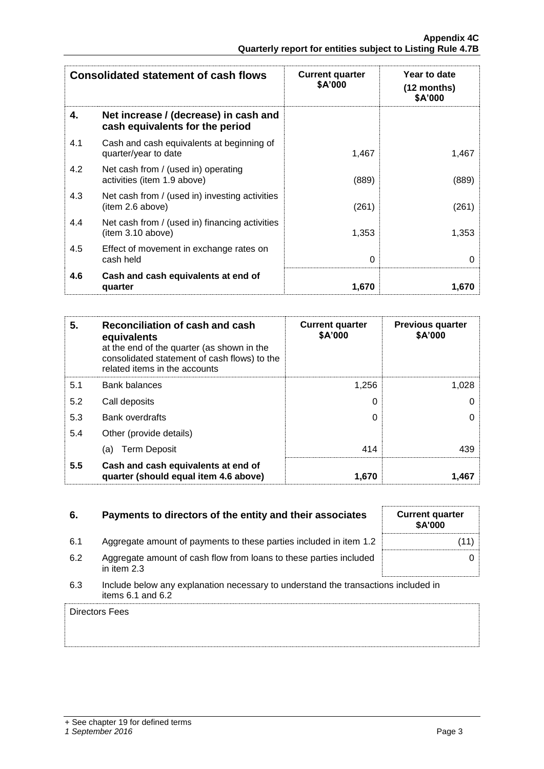| <b>Consolidated statement of cash flows</b> |                                                                          | <b>Current quarter</b><br>\$A'000 | Year to date<br>$(12 \text{ months})$<br>\$A'000 |
|---------------------------------------------|--------------------------------------------------------------------------|-----------------------------------|--------------------------------------------------|
| 4.                                          | Net increase / (decrease) in cash and<br>cash equivalents for the period |                                   |                                                  |
| 4.1                                         | Cash and cash equivalents at beginning of<br>quarter/year to date        | 1,467                             | 1,467                                            |
| 4.2                                         | Net cash from / (used in) operating<br>activities (item 1.9 above)       | (889)                             | (889)                                            |
| 4.3                                         | Net cash from / (used in) investing activities<br>(item 2.6 above)       | (261)                             | (261)                                            |
| 4.4                                         | Net cash from / (used in) financing activities<br>(item 3.10 above)      | 1,353                             | 1,353                                            |
| 4.5                                         | Effect of movement in exchange rates on<br>cash held                     | 0                                 | 0                                                |
| 4.6                                         | Cash and cash equivalents at end of<br>quarter                           | 1,670                             | 1,670                                            |

| 5.  | Reconciliation of cash and cash<br>equivalents<br>at the end of the quarter (as shown in the<br>consolidated statement of cash flows) to the<br>related items in the accounts | <b>Current quarter</b><br>\$A'000 | <b>Previous quarter</b><br>\$A'000 |
|-----|-------------------------------------------------------------------------------------------------------------------------------------------------------------------------------|-----------------------------------|------------------------------------|
| 5.1 | <b>Bank balances</b>                                                                                                                                                          | 1.256                             | 1,028                              |
| 5.2 | Call deposits                                                                                                                                                                 | 0                                 |                                    |
| 5.3 | <b>Bank overdrafts</b>                                                                                                                                                        | 0                                 | 0                                  |
| 5.4 | Other (provide details)                                                                                                                                                       |                                   |                                    |
|     | <b>Term Deposit</b><br>(a)                                                                                                                                                    | 414                               | 439                                |
| 5.5 | Cash and cash equivalents at end of<br>quarter (should equal item 4.6 above)                                                                                                  | 1,670                             | 1.467                              |

| 6.  | Payments to directors of the entity and their associates                                                    | <b>Current quarter</b><br><b>\$A'000</b> |
|-----|-------------------------------------------------------------------------------------------------------------|------------------------------------------|
| 6.1 | Aggregate amount of payments to these parties included in item 1.2                                          | (11)                                     |
| 6.2 | Aggregate amount of cash flow from loans to these parties included<br>in item $2.3$                         |                                          |
| 6.3 | Include below any explanation necessary to understand the transactions included in<br>items $6.1$ and $6.2$ |                                          |
|     | Directors Fees                                                                                              |                                          |

| <b>Current quarter</b><br>\$A'000 |      |
|-----------------------------------|------|
|                                   | (11) |
|                                   | 0    |
|                                   |      |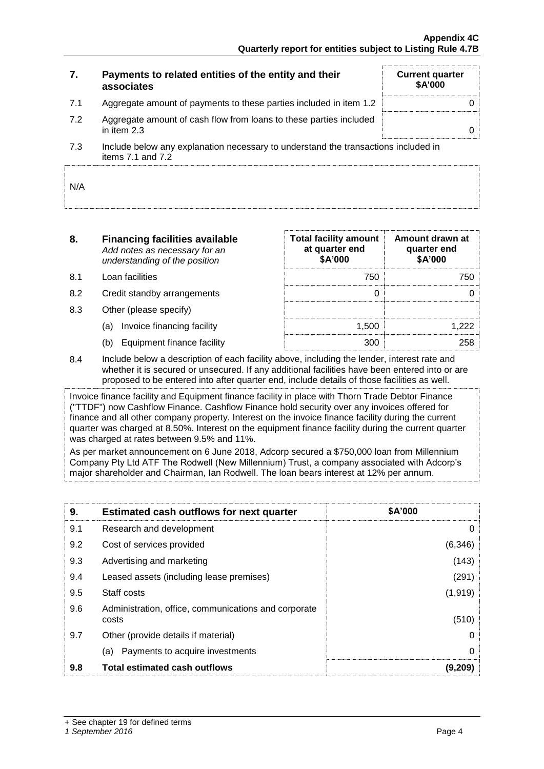| 7.  | Payments to related entities of the entity and their<br>associates                | <b>Current quarter</b><br><b>\$A'000</b> |
|-----|-----------------------------------------------------------------------------------|------------------------------------------|
| 7.1 | Aggregate amount of payments to these parties included in item 1.2                |                                          |
| 7.2 | Aggregate amount of cash flow from loans to these parties included<br>in item 2.3 |                                          |

7.3 Include below any explanation necessary to understand the transactions included in items  $7.1$  and  $7.2$ 

| N/A |  |
|-----|--|
|     |  |

| 8.  | <b>Financing facilities available</b><br>Add notes as necessary for an<br>understanding of the position | <b>Total facility amount</b><br>at quarter end<br>\$A'000 | Amount drawn at<br>quarter end<br>\$A'000 |
|-----|---------------------------------------------------------------------------------------------------------|-----------------------------------------------------------|-------------------------------------------|
| 8.1 | Loan facilities                                                                                         | 750                                                       | 750                                       |
| 8.2 | Credit standby arrangements                                                                             |                                                           |                                           |
| 8.3 | Other (please specify)                                                                                  |                                                           |                                           |
|     | Invoice financing facility<br>(a)                                                                       | 1.500                                                     | 222                                       |
|     | Equipment finance facility<br>(b)                                                                       | 300                                                       | 258                                       |

8.4 Include below a description of each facility above, including the lender, interest rate and whether it is secured or unsecured. If any additional facilities have been entered into or are proposed to be entered into after quarter end, include details of those facilities as well.

Invoice finance facility and Equipment finance facility in place with Thorn Trade Debtor Finance ("TTDF") now Cashflow Finance. Cashflow Finance hold security over any invoices offered for finance and all other company property. Interest on the invoice finance facility during the current quarter was charged at 8.50%. Interest on the equipment finance facility during the current quarter was charged at rates between 9.5% and 11%.

As per market announcement on 6 June 2018, Adcorp secured a \$750,000 loan from Millennium Company Pty Ltd ATF The Rodwell (New Millennium) Trust, a company associated with Adcorp's major shareholder and Chairman, Ian Rodwell. The loan bears interest at 12% per annum.

| 9.  | <b>Estimated cash outflows for next quarter</b>               | <b>\$A'000</b> |
|-----|---------------------------------------------------------------|----------------|
| 9.1 | Research and development                                      | O              |
| 9.2 | Cost of services provided                                     | (6, 346)       |
| 9.3 | Advertising and marketing                                     | (143)          |
| 9.4 | Leased assets (including lease premises)                      | (291)          |
| 9.5 | Staff costs                                                   | (1, 919)       |
| 9.6 | Administration, office, communications and corporate<br>costs | (510)          |
| 9.7 | Other (provide details if material)                           | O              |
|     | Payments to acquire investments<br>(a)                        | 0              |
| 9.8 | <b>Total estimated cash outflows</b>                          | (9.209)        |